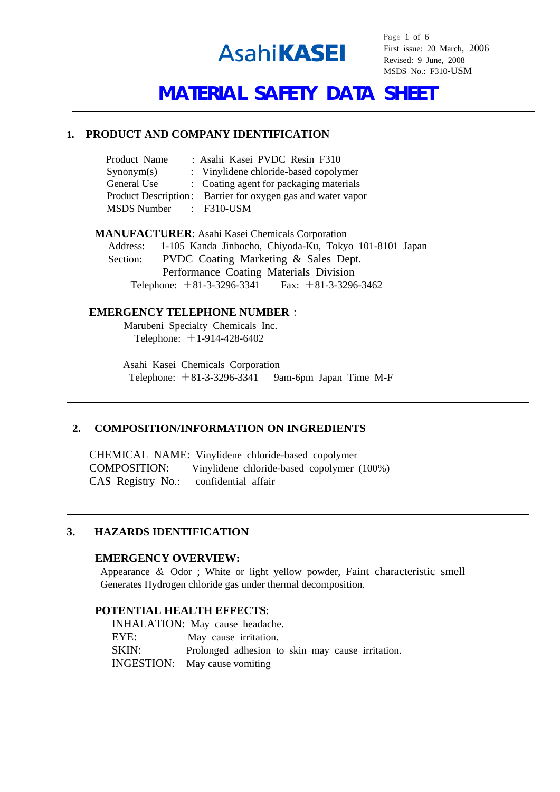

Page 1 of 6 First issue: 20 March, 2006 Revised: 9 June, 2008 MSDS No.: F310-USM

# **MATERIAL SAFETY DATA SHEET**

#### **1. PRODUCT AND COMPANY IDENTIFICATION**

| Product Name           |  | : Asahi Kasei PVDC Resin F310                               |  |
|------------------------|--|-------------------------------------------------------------|--|
| Symonym(s)             |  | : Vinylidene chloride-based copolymer                       |  |
| General Use            |  | : Coating agent for packaging materials                     |  |
|                        |  | Product Description: Barrier for oxygen gas and water vapor |  |
| MSDS Number : F310-USM |  |                                                             |  |

**MANUFACTURER**: Asahi Kasei Chemicals Corporation Address: 1-105 Kanda Jinbocho, Chiyoda-Ku, Tokyo 101-8101 Japan Section: PVDC Coating Marketing & Sales Dept. Performance Coating Materials Division Telephone: +81-3-3296-3341 Fax: +81-3-3296-3462

#### **EMERGENCY TELEPHONE NUMBER**:

 Marubeni Specialty Chemicals Inc. Telephone:  $+1-914-428-6402$ 

 Asahi Kasei Chemicals Corporation Telephone:  $+81-3-3296-3341$  9am-6pm Japan Time M-F

## **2. COMPOSITION/INFORMATION ON INGREDIENTS**

 CHEMICAL NAME: Vinylidene chloride-based copolymer COMPOSITION: Vinylidene chloride-based copolymer (100%) CAS Registry No.: confidential affair

## **3. HAZARDS IDENTIFICATION**

#### **EMERGENCY OVERVIEW:**

 Appearance & Odor ; White or light yellow powder, Faint characteristic smell Generates Hydrogen chloride gas under thermal decomposition.

#### **POTENTIAL HEALTH EFFECTS**:

INHALATION: May cause headache. EYE: May cause irritation. SKIN: Prolonged adhesion to skin may cause irritation. INGESTION: May cause vomiting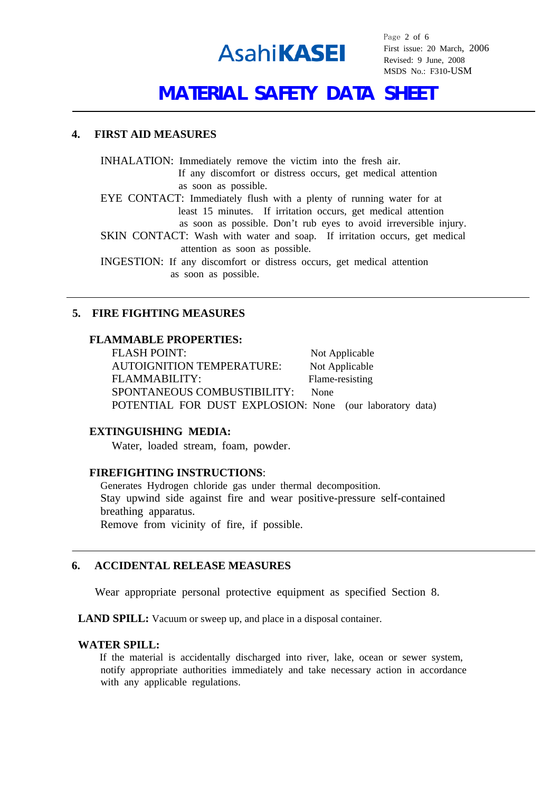

Page 2 of 6 First issue: 20 March, 2006 Revised: 9 June, 2008 MSDS No.: F310-USM

## **MATERIAL SAFETY DATA SHEET**

#### **4. FIRST AID MEASURES**

INHALATION: Immediately remove the victim into the fresh air.

 If any discomfort or distress occurs, get medical attention as soon as possible.

EYE CONTACT: Immediately flush with a plenty of running water for at least 15 minutes. If irritation occurs, get medical attention

as soon as possible. Don't rub eyes to avoid irreversible injury.

SKIN CONTACT: Wash with water and soap. If irritation occurs, get medical attention as soon as possible.

INGESTION: If any discomfort or distress occurs, get medical attention as soon as possible.

## **5. FIRE FIGHTING MEASURES**

## **FLAMMABLE PROPERTIES:**

FLASH POINT: Not Applicable AUTOIGNITION TEMPERATURE: Not Applicable FLAMMABILITY: Flame-resisting SPONTANEOUS COMBUSTIBILITY: None POTENTIAL FOR DUST EXPLOSION: None (our laboratory data)

## **EXTINGUISHING MEDIA:**

Water, loaded stream, foam, powder.

## **FIREFIGHTING INSTRUCTIONS**:

Generates Hydrogen chloride gas under thermal decomposition. Stay upwind side against fire and wear positive-pressure self-contained breathing apparatus. Remove from vicinity of fire, if possible.

## **6. ACCIDENTAL RELEASE MEASURES**

Wear appropriate personal protective equipment as specified Section 8.

LAND SPILL: Vacuum or sweep up, and place in a disposal container.

#### **WATER SPILL:**

If the material is accidentally discharged into river, lake, ocean or sewer system, notify appropriate authorities immediately and take necessary action in accordance with any applicable regulations.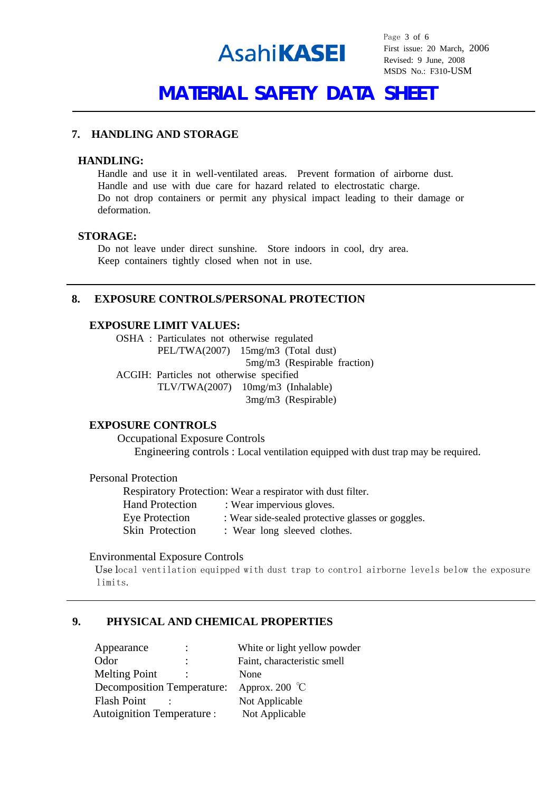

Page 3 of 6 First issue: 20 March, 2006 Revised: 9 June, 2008 MSDS No.: F310-USM

# **MATERIAL SAFETY DATA SHEET**

## **7. HANDLING AND STORAGE**

#### **HANDLING:**

Handle and use it in well-ventilated areas. Prevent formation of airborne dust. Handle and use with due care for hazard related to electrostatic charge. Do not drop containers or permit any physical impact leading to their damage or deformation.

## **STORAGE:**

Do not leave under direct sunshine. Store indoors in cool, dry area. Keep containers tightly closed when not in use.

### **8. EXPOSURE CONTROLS/PERSONAL PROTECTION**

## **EXPOSURE LIMIT VALUES:**

OSHA : Particulates not otherwise regulated PEL/TWA(2007) 15mg/m3 (Total dust) 5mg/m3 (Respirable fraction) ACGIH: Particles not otherwise specified TLV/TWA(2007) 10mg/m3 (Inhalable) 3mg/m3 (Respirable)

#### **EXPOSURE CONTROLS**

Occupational Exposure Controls Engineering controls : Local ventilation equipped with dust trap may be required.

#### Personal Protection

Respiratory Protection: Wear a respirator with dust filter. Hand Protection : Wear impervious gloves. Eye Protection : Wear side-sealed protective glasses or goggles. Skin Protection : Wear long sleeved clothes.

#### Environmental Exposure Controls

 Use local ventilation equipped with dust trap to control airborne levels below the exposure limits.

#### **9. PHYSICAL AND CHEMICAL PROPERTIES**

| Appearance                        | $\ddot{\phantom{a}}$ | White or light yellow powder |
|-----------------------------------|----------------------|------------------------------|
| Odor                              | ٠<br>$\blacksquare$  | Faint, characteristic smell  |
| <b>Melting Point</b>              |                      | None                         |
| <b>Decomposition Temperature:</b> |                      | Approx. 200 $\degree$ C      |
| <b>Flash Point</b>                |                      | Not Applicable               |
| <b>Autoignition Temperature:</b>  |                      | Not Applicable               |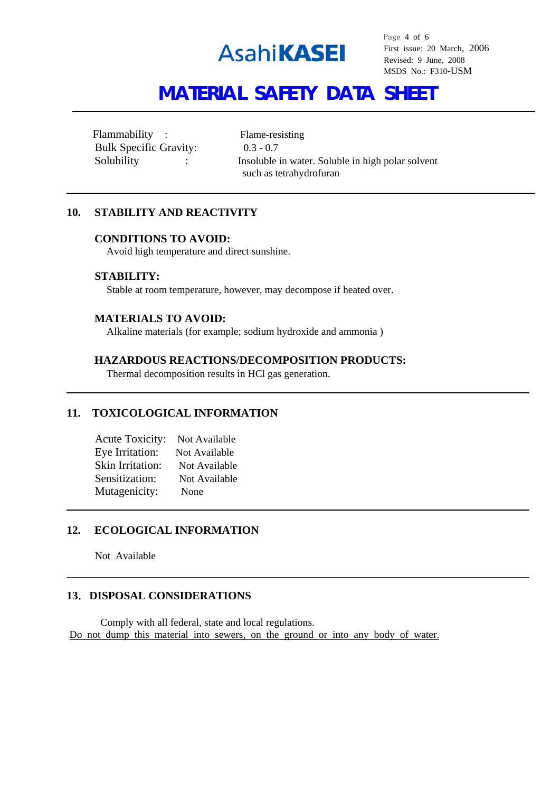

Page 4 of 6 First issue: 20 March, 2006 Revised: 9 June, 2008 MSDS No.: F310-USM

# **MATERIAL SAFETY DATA SHEET**

Flammability : Flame-resisting Bulk Specific Gravity: 0.3 - 0.7

Solubility : Insoluble in water. Soluble in high polar solvent such as tetrahydrofuran

## **10. STABILITY AND REACTIVITY**

#### **CONDITIONS TO AVOID:**

Avoid high temperature and direct sunshine.

#### **STABILITY:**

Stable at room temperature, however, may decompose if heated over.

#### **MATERIALS TO AVOID:**

Alkaline materials (for example; sodium hydroxide and ammonia )

## **HAZARDOUS REACTIONS/DECOMPOSITION PRODUCTS:**

Thermal decomposition results in HCl gas generation.

## **11. TOXICOLOGICAL INFORMATION**

| <b>Acute Toxicity:</b> | Not Available |
|------------------------|---------------|
| Eye Irritation:        | Not Available |
| Skin Irritation:       | Not Available |
| Sensitization:         | Not Available |
| Mutagenicity:          | None          |

#### **12. ECOLOGICAL INFORMATION**

Not Available

 $\overline{a}$ 

### **13**.**DISPOSAL CONSIDERATIONS**

Comply with all federal, state and local regulations. Do not dump this material into sewers, on the ground or into any body of water.